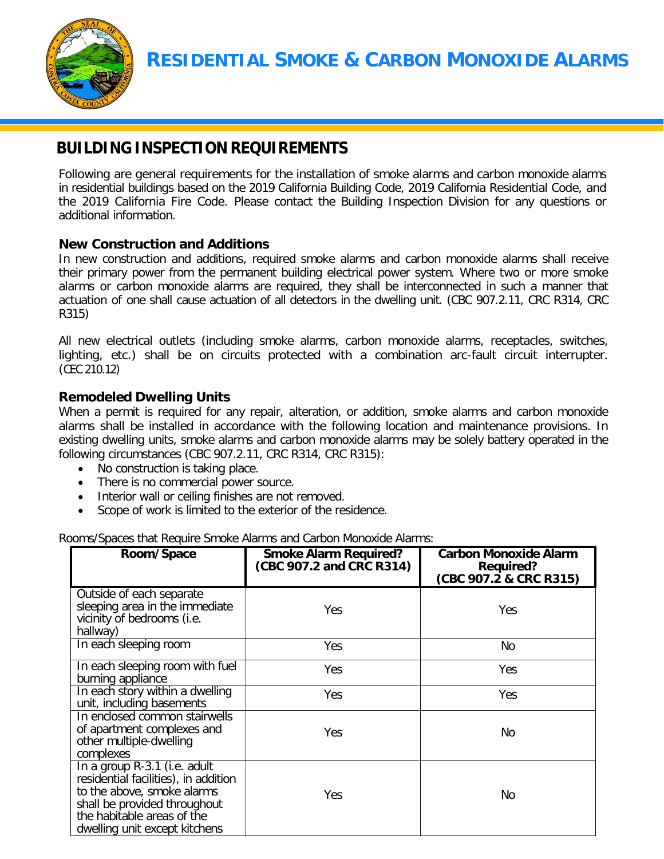

# **BUILDING INSPECTION REQUIREMENTS**

Following are general requirements for the installation of smoke alarms and carbon monoxide alarms in residential buildings based on the 2019 California Building Code, 2019 California Residential Code, and the 2019 California Fire Code. Please contact the Building Inspection Division for any questions or additional information.

## **New Construction and Additions**

In new construction and additions, required smoke alarms and carbon monoxide alarms shall receive their primary power from the permanent building electrical power system. Where two or more smoke alarms or carbon monoxide alarms are required, they shall be interconnected in such a manner that actuation of one shall cause actuation of all detectors in the dwelling unit. (CBC 907.2.11, CRC R314, CRC R315)

All new electrical outlets (including smoke alarms, carbon monoxide alarms, receptacles, switches, lighting, etc.) shall be on circuits protected with a combination arc-fault circuit interrupter. (CEC 210.12)

## **Remodeled Dwelling Units**

When a permit is required for any repair, alteration, or addition, smoke alarms and carbon monoxide alarms shall be installed in accordance with the following location and maintenance provisions. In existing dwelling units, smoke alarms and carbon monoxide alarms may be solely battery operated in the following circumstances (CBC 907.2.11, CRC R314, CRC R315):

- No construction is taking place.
- There is no commercial power source.
- Interior wall or ceiling finishes are not removed.
- Scope of work is limited to the exterior of the residence.

Rooms/Spaces that Require Smoke Alarms and Carbon Monoxide Alarms:

| Room/Space                                                                                                                                                                                        | <b>Smoke Alarm Required?</b><br>(CBC 907.2 and CRC R314) | <b>Carbon Monoxide Alarm</b><br><b>Required?</b><br>(CBC 907.2 & CRC R315) |
|---------------------------------------------------------------------------------------------------------------------------------------------------------------------------------------------------|----------------------------------------------------------|----------------------------------------------------------------------------|
| Outside of each separate<br>sleeping area in the immediate<br>vicinity of bedrooms (i.e.<br>hallway)                                                                                              | Yes                                                      | Yes                                                                        |
| In each sleeping room                                                                                                                                                                             | Yes                                                      | No                                                                         |
| In each sleeping room with fuel<br>burning appliance                                                                                                                                              | Yes                                                      | <b>Yes</b>                                                                 |
| In each story within a dwelling<br>unit, including basements                                                                                                                                      | Yes                                                      | Yes                                                                        |
| In enclosed common stairwells<br>of apartment complexes and<br>other multiple-dwelling<br>complexes                                                                                               | Yes                                                      | No.                                                                        |
| In a group R-3.1 (i.e. adult<br>residential facilities), in addition<br>to the above, smoke alarms<br>shall be provided throughout<br>the habitable areas of the<br>dwelling unit except kitchens | Yes                                                      | No.                                                                        |